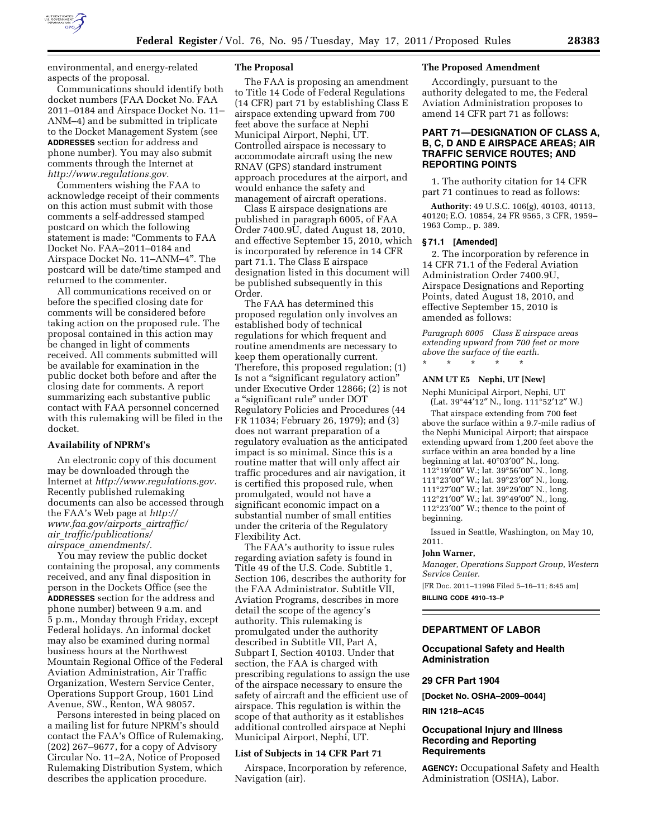

environmental, and energy-related aspects of the proposal.

Communications should identify both docket numbers (FAA Docket No. FAA 2011–0184 and Airspace Docket No. 11– ANM–4) and be submitted in triplicate to the Docket Management System (see **ADDRESSES** section for address and phone number). You may also submit comments through the Internet at *[http://www.regulations.gov.](http://www.regulations.gov)* 

Commenters wishing the FAA to acknowledge receipt of their comments on this action must submit with those comments a self-addressed stamped postcard on which the following statement is made: "Comments to FAA Docket No. FAA–2011–0184 and Airspace Docket No. 11–ANM–4''. The postcard will be date/time stamped and returned to the commenter.

All communications received on or before the specified closing date for comments will be considered before taking action on the proposed rule. The proposal contained in this action may be changed in light of comments received. All comments submitted will be available for examination in the public docket both before and after the closing date for comments. A report summarizing each substantive public contact with FAA personnel concerned with this rulemaking will be filed in the docket.

#### **Availability of NPRM's**

An electronic copy of this document may be downloaded through the Internet at *[http://www.regulations.gov.](http://www.regulations.gov)*  Recently published rulemaking documents can also be accessed through the FAA's Web page at *[http://](http://www.faa.gov/airports_airtraffic/air_traffic/publications/airspace_amendments/)  [www.faa.gov/airports](http://www.faa.gov/airports_airtraffic/air_traffic/publications/airspace_amendments/)*\_*airtraffic/ air*\_*[traffic/publications/](http://www.faa.gov/airports_airtraffic/air_traffic/publications/airspace_amendments/) airspace*\_*[amendments/.](http://www.faa.gov/airports_airtraffic/air_traffic/publications/airspace_amendments/)* 

You may review the public docket containing the proposal, any comments received, and any final disposition in person in the Dockets Office (see the **ADDRESSES** section for the address and phone number) between 9 a.m. and 5 p.m., Monday through Friday, except Federal holidays. An informal docket may also be examined during normal business hours at the Northwest Mountain Regional Office of the Federal Aviation Administration, Air Traffic Organization, Western Service Center, Operations Support Group, 1601 Lind Avenue, SW., Renton, WA 98057.

Persons interested in being placed on a mailing list for future NPRM's should contact the FAA's Office of Rulemaking, (202) 267–9677, for a copy of Advisory Circular No. 11–2A, Notice of Proposed Rulemaking Distribution System, which describes the application procedure.

# **The Proposal**

The FAA is proposing an amendment to Title 14 Code of Federal Regulations (14 CFR) part 71 by establishing Class E airspace extending upward from 700 feet above the surface at Nephi Municipal Airport, Nephi, UT. Controlled airspace is necessary to accommodate aircraft using the new RNAV (GPS) standard instrument approach procedures at the airport, and would enhance the safety and management of aircraft operations.

Class E airspace designations are published in paragraph 6005, of FAA Order 7400.9U, dated August 18, 2010, and effective September 15, 2010, which is incorporated by reference in 14 CFR part 71.1. The Class E airspace designation listed in this document will be published subsequently in this Order.

The FAA has determined this proposed regulation only involves an established body of technical regulations for which frequent and routine amendments are necessary to keep them operationally current. Therefore, this proposed regulation; (1) Is not a "significant regulatory action" under Executive Order 12866; (2) is not a ''significant rule'' under DOT Regulatory Policies and Procedures (44 FR 11034; February 26, 1979); and (3) does not warrant preparation of a regulatory evaluation as the anticipated impact is so minimal. Since this is a routine matter that will only affect air traffic procedures and air navigation, it is certified this proposed rule, when promulgated, would not have a significant economic impact on a substantial number of small entities under the criteria of the Regulatory Flexibility Act.

The FAA's authority to issue rules regarding aviation safety is found in Title 49 of the U.S. Code. Subtitle 1, Section 106, describes the authority for the FAA Administrator. Subtitle VII, Aviation Programs, describes in more detail the scope of the agency's authority. This rulemaking is promulgated under the authority described in Subtitle VII, Part A, Subpart I, Section 40103. Under that section, the FAA is charged with prescribing regulations to assign the use of the airspace necessary to ensure the safety of aircraft and the efficient use of airspace. This regulation is within the scope of that authority as it establishes additional controlled airspace at Nephi Municipal Airport, Nephi, UT.

# **List of Subjects in 14 CFR Part 71**

Airspace, Incorporation by reference, Navigation (air).

# **The Proposed Amendment**

Accordingly, pursuant to the authority delegated to me, the Federal Aviation Administration proposes to amend 14 CFR part 71 as follows:

# **PART 71—DESIGNATION OF CLASS A, B, C, D AND E AIRSPACE AREAS; AIR TRAFFIC SERVICE ROUTES; AND REPORTING POINTS**

1. The authority citation for 14 CFR part 71 continues to read as follows:

**Authority:** 49 U.S.C. 106(g), 40103, 40113, 40120; E.O. 10854, 24 FR 9565, 3 CFR, 1959– 1963 Comp., p. 389.

# **§ 71.1 [Amended]**

2. The incorporation by reference in 14 CFR 71.1 of the Federal Aviation Administration Order 7400.9U, Airspace Designations and Reporting Points, dated August 18, 2010, and effective September 15, 2010 is amended as follows:

*Paragraph 6005 Class E airspace areas extending upward from 700 feet or more above the surface of the earth.* 

# \* \* \* \* \*

# **ANM UT E5 Nephi, UT [New]**

Nephi Municipal Airport, Nephi, UT  $(Lat. 39°44'12'' N., long. 111°52'12'' W.)$ 

That airspace extending from 700 feet above the surface within a 9.7-mile radius of the Nephi Municipal Airport; that airspace extending upward from 1,200 feet above the surface within an area bonded by a line beginning at lat. 40°03′00″ N., long. 112°19′00″ W.; lat. 39°56′00″ N., long. 111°23′00″ W.; lat. 39°23′00″ N., long. 111°27′00″ W.; lat. 39°29′00″ N., long. 112°21′00″ W.; lat. 39°49′00″ N., long. 112°23′00″ W.; thence to the point of beginning.

Issued in Seattle, Washington, on May 10, 2011.

#### **John Warner,**

*Manager, Operations Support Group, Western Service Center.* 

[FR Doc. 2011–11998 Filed 5–16–11; 8:45 am] **BILLING CODE 4910–13–P** 

# **DEPARTMENT OF LABOR**

# **Occupational Safety and Health Administration**

# **29 CFR Part 1904**

**[Docket No. OSHA–2009–0044]** 

#### **RIN 1218–AC45**

# **Occupational Injury and Illness Recording and Reporting Requirements**

**AGENCY:** Occupational Safety and Health Administration (OSHA), Labor.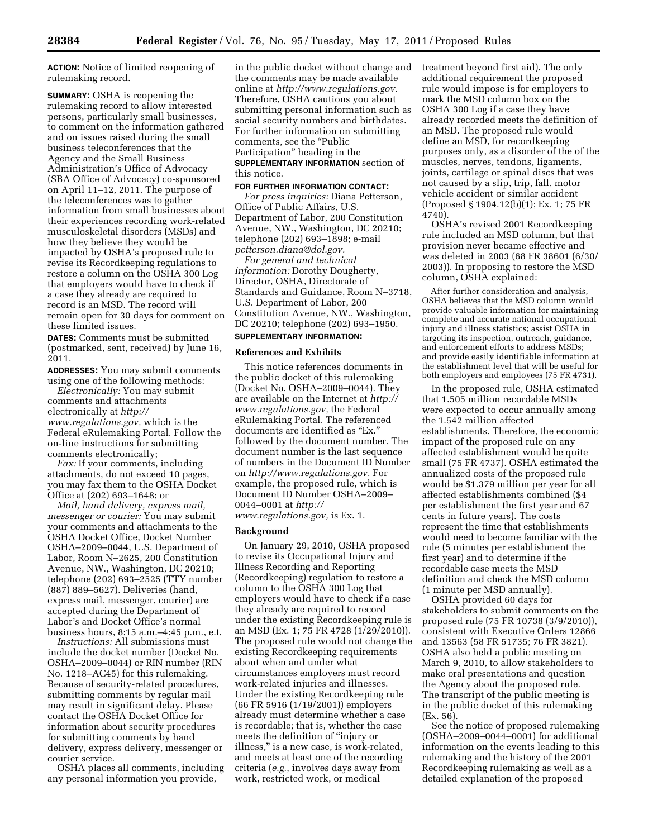**ACTION:** Notice of limited reopening of rulemaking record.

**SUMMARY:** OSHA is reopening the rulemaking record to allow interested persons, particularly small businesses, to comment on the information gathered and on issues raised during the small business teleconferences that the Agency and the Small Business Administration's Office of Advocacy (SBA Office of Advocacy) co-sponsored on April 11–12, 2011. The purpose of the teleconferences was to gather information from small businesses about their experiences recording work-related musculoskeletal disorders (MSDs) and how they believe they would be impacted by OSHA's proposed rule to revise its Recordkeeping regulations to restore a column on the OSHA 300 Log that employers would have to check if a case they already are required to record is an MSD. The record will remain open for 30 days for comment on these limited issues.

**DATES:** Comments must be submitted (postmarked, sent, received) by June 16, 2011.

**ADDRESSES:** You may submit comments using one of the following methods:

*Electronically:* You may submit comments and attachments electronically at *[http://](http://www.regulations.gov) [www.regulations.gov,](http://www.regulations.gov)* which is the Federal eRulemaking Portal. Follow the on-line instructions for submitting comments electronically;

*Fax:* If your comments, including attachments, do not exceed 10 pages, you may fax them to the OSHA Docket Office at (202) 693–1648; or

*Mail, hand delivery, express mail, messenger or courier:* You may submit your comments and attachments to the OSHA Docket Office, Docket Number OSHA–2009–0044, U.S. Department of Labor, Room N–2625, 200 Constitution Avenue, NW., Washington, DC 20210; telephone (202) 693–2525 (TTY number (887) 889–5627). Deliveries (hand, express mail, messenger, courier) are accepted during the Department of Labor's and Docket Office's normal business hours, 8:15 a.m.–4:45 p.m., e.t.

*Instructions:* All submissions must include the docket number (Docket No. OSHA–2009–0044) or RIN number (RIN No. 1218–AC45) for this rulemaking. Because of security-related procedures, submitting comments by regular mail may result in significant delay. Please contact the OSHA Docket Office for information about security procedures for submitting comments by hand delivery, express delivery, messenger or courier service.

OSHA places all comments, including any personal information you provide,

in the public docket without change and the comments may be made available online at *[http://www.regulations.gov.](http://www.regulations.gov)*  Therefore, OSHA cautions you about submitting personal information such as social security numbers and birthdates. For further information on submitting comments, see the "Public Participation'' heading in the **SUPPLEMENTARY INFORMATION** section of this notice.

#### **FOR FURTHER INFORMATION CONTACT:**

*For press inquiries:* Diana Petterson, Office of Public Affairs, U.S. Department of Labor, 200 Constitution Avenue, NW., Washington, DC 20210; telephone (202) 693–1898; e-mail *[petterson.diana@dol.gov.](mailto:petterson.diana@dol.gov)* 

*For general and technical information:* Dorothy Dougherty, Director, OSHA, Directorate of Standards and Guidance, Room N–3718, U.S. Department of Labor, 200 Constitution Avenue, NW., Washington, DC 20210; telephone (202) 693–1950.

# **SUPPLEMENTARY INFORMATION:**

# **References and Exhibits**

This notice references documents in the public docket of this rulemaking (Docket No. OSHA–2009–0044). They are available on the Internet at *[http://](http://www.regulations.gov) [www.regulations.gov,](http://www.regulations.gov)* the Federal eRulemaking Portal. The referenced documents are identified as "Ex." followed by the document number. The document number is the last sequence of numbers in the Document ID Number on *[http://www.regulations.gov.](http://www.regulations.gov)* For example, the proposed rule, which is Document ID Number OSHA–2009– 0044–0001 at *[http://](http://www.regulations.gov)  [www.regulations.gov,](http://www.regulations.gov)* is Ex. 1.

#### **Background**

On January 29, 2010, OSHA proposed to revise its Occupational Injury and Illness Recording and Reporting (Recordkeeping) regulation to restore a column to the OSHA 300 Log that employers would have to check if a case they already are required to record under the existing Recordkeeping rule is an MSD (Ex. 1; 75 FR 4728 (1/29/2010)). The proposed rule would not change the existing Recordkeeping requirements about when and under what circumstances employers must record work-related injuries and illnesses. Under the existing Recordkeeping rule (66 FR 5916 (1/19/2001)) employers already must determine whether a case is recordable; that is, whether the case meets the definition of ''injury or illness,'' is a new case, is work-related, and meets at least one of the recording criteria (*e.g.,* involves days away from work, restricted work, or medical

treatment beyond first aid). The only additional requirement the proposed rule would impose is for employers to mark the MSD column box on the OSHA 300 Log if a case they have already recorded meets the definition of an MSD. The proposed rule would define an MSD, for recordkeeping purposes only, as a disorder of the of the muscles, nerves, tendons, ligaments, joints, cartilage or spinal discs that was not caused by a slip, trip, fall, motor vehicle accident or similar accident (Proposed § 1904.12(b)(1); Ex. 1; 75 FR 4740).

OSHA's revised 2001 Recordkeeping rule included an MSD column, but that provision never became effective and was deleted in 2003 (68 FR 38601 (6/30/ 2003)). In proposing to restore the MSD column, OSHA explained:

After further consideration and analysis, OSHA believes that the MSD column would provide valuable information for maintaining complete and accurate national occupational injury and illness statistics; assist OSHA in targeting its inspection, outreach, guidance, and enforcement efforts to address MSDs; and provide easily identifiable information at the establishment level that will be useful for both employers and employees (75 FR 4731).

In the proposed rule, OSHA estimated that 1.505 million recordable MSDs were expected to occur annually among the 1.542 million affected establishments. Therefore, the economic impact of the proposed rule on any affected establishment would be quite small (75 FR 4737). OSHA estimated the annualized costs of the proposed rule would be \$1.379 million per year for all affected establishments combined (\$4 per establishment the first year and 67 cents in future years). The costs represent the time that establishments would need to become familiar with the rule (5 minutes per establishment the first year) and to determine if the recordable case meets the MSD definition and check the MSD column (1 minute per MSD annually).

OSHA provided 60 days for stakeholders to submit comments on the proposed rule (75 FR 10738 (3/9/2010)), consistent with Executive Orders 12866 and 13563 (58 FR 51735; 76 FR 3821). OSHA also held a public meeting on March 9, 2010, to allow stakeholders to make oral presentations and question the Agency about the proposed rule. The transcript of the public meeting is in the public docket of this rulemaking (Ex. 56).

See the notice of proposed rulemaking (OSHA–2009–0044–0001) for additional information on the events leading to this rulemaking and the history of the 2001 Recordkeeping rulemaking as well as a detailed explanation of the proposed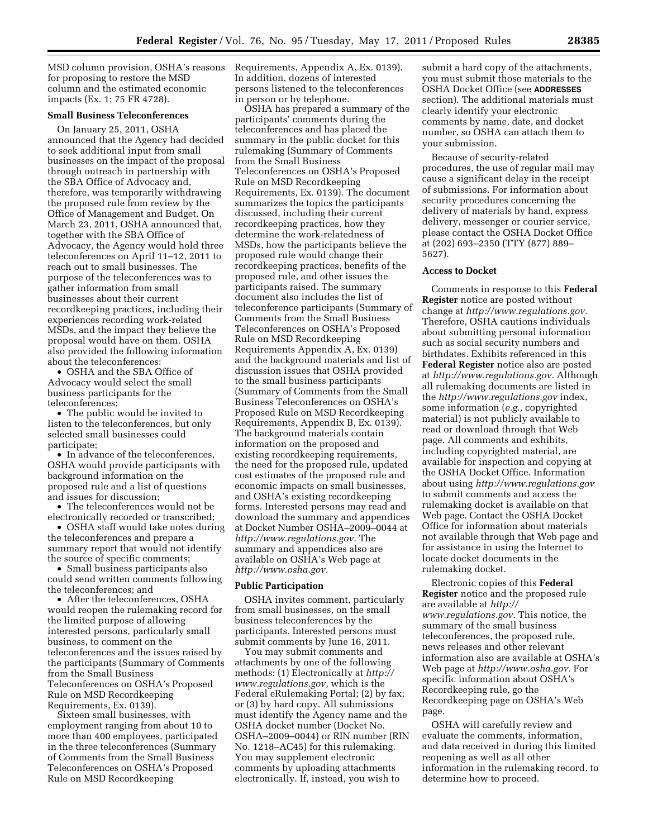MSD column provision, OSHA's reasons for proposing to restore the MSD column and the estimated economic impacts (Ex. 1; 75 FR 4728).

# **Small Business Teleconferences**

On January 25, 2011, OSHA announced that the Agency had decided to seek additional input from small businesses on the impact of the proposal through outreach in partnership with the SBA Office of Advocacy and, therefore, was temporarily withdrawing the proposed rule from review by the Office of Management and Budget. On March 23, 2011, OSHA announced that, together with the SBA Office of Advocacy, the Agency would hold three teleconferences on April 11–12, 2011 to reach out to small businesses. The purpose of the teleconferences was to gather information from small businesses about their current recordkeeping practices, including their experiences recording work-related MSDs, and the impact they believe the proposal would have on them. OSHA also provided the following information about the teleconferences:

• OSHA and the SBA Office of Advocacy would select the small business participants for the teleconferences;

• The public would be invited to listen to the teleconferences, but only selected small businesses could participate;

• In advance of the teleconferences, OSHA would provide participants with background information on the proposed rule and a list of questions and issues for discussion;

• The teleconferences would not be electronically recorded or transcribed;

• OSHA staff would take notes during the teleconferences and prepare a summary report that would not identify the source of specific comments;

• Small business participants also could send written comments following the teleconferences; and

• After the teleconferences, OSHA would reopen the rulemaking record for the limited purpose of allowing interested persons, particularly small business, to comment on the teleconferences and the issues raised by the participants (Summary of Comments from the Small Business Teleconferences on OSHA's Proposed Rule on MSD Recordkeeping Requirements, Ex. 0139).

Sixteen small businesses, with employment ranging from about 10 to more than 400 employees, participated in the three teleconferences (Summary of Comments from the Small Business Teleconferences on OSHA's Proposed Rule on MSD Recordkeeping

Requirements, Appendix A, Ex. 0139). In addition, dozens of interested persons listened to the teleconferences in person or by telephone.

OSHA has prepared a summary of the participants' comments during the teleconferences and has placed the summary in the public docket for this rulemaking (Summary of Comments from the Small Business Teleconferences on OSHA's Proposed Rule on MSD Recordkeeping Requirements, Ex. 0139). The document summarizes the topics the participants discussed, including their current recordkeeping practices, how they determine the work-relatedness of MSDs, how the participants believe the proposed rule would change their recordkeeping practices, benefits of the proposed rule, and other issues the participants raised. The summary document also includes the list of teleconference participants (Summary of Comments from the Small Business Teleconferences on OSHA's Proposed Rule on MSD Recordkeeping Requirements Appendix A, Ex. 0139) and the background materials and list of discussion issues that OSHA provided to the small business participants (Summary of Comments from the Small Business Teleconferences on OSHA's Proposed Rule on MSD Recordkeeping Requirements, Appendix B, Ex. 0139). The background materials contain information on the proposed and existing recordkeeping requirements, the need for the proposed rule, updated cost estimates of the proposed rule and economic impacts on small businesses, and OSHA's existing recordkeeping forms. Interested persons may read and download the summary and appendices at Docket Number OSHA–2009–0044 at *[http://www.regulations.gov.](http://www.regulations.gov)* The summary and appendices also are available on OSHA's Web page at *[http://www.osha.gov.](http://www.osha.gov)* 

#### **Public Participation**

OSHA invites comment, particularly from small businesses, on the small business teleconferences by the participants. Interested persons must submit comments by June 16, 2011.

You may submit comments and attachments by one of the following methods: (1) Electronically at *[http://](http://www.regulations.gov) [www.regulations.gov,](http://www.regulations.gov)* which is the Federal eRulemaking Portal; (2) by fax; or (3) by hard copy. All submissions must identify the Agency name and the OSHA docket number (Docket No. OSHA–2009–0044) or RIN number (RIN No. 1218–AC45) for this rulemaking. You may supplement electronic comments by uploading attachments electronically. If, instead, you wish to

submit a hard copy of the attachments, you must submit those materials to the OSHA Docket Office (see **ADDRESSES** section). The additional materials must clearly identify your electronic comments by name, date, and docket number, so OSHA can attach them to your submission.

Because of security-related procedures, the use of regular mail may cause a significant delay in the receipt of submissions. For information about security procedures concerning the delivery of materials by hand, express delivery, messenger or courier service, please contact the OSHA Docket Office at (202) 693–2350 (TTY (877) 889– 5627).

#### **Access to Docket**

Comments in response to this **Federal Register** notice are posted without change at *[http://www.regulations.gov.](http://www.regulations.gov)*  Therefore, OSHA cautions individuals about submitting personal information such as social security numbers and birthdates. Exhibits referenced in this **Federal Register** notice also are posted at *[http://www.regulations.gov.](http://www.regulations.gov)* Although all rulemaking documents are listed in the *<http://www.regulations.gov>*index, some information (*e.g.,* copyrighted material) is not publicly available to read or download through that Web page. All comments and exhibits, including copyrighted material, are available for inspection and copying at the OSHA Docket Office. Information about using *<http://www.regulations.gov>* to submit comments and access the rulemaking docket is available on that Web page. Contact the OSHA Docket Office for information about materials not available through that Web page and for assistance in using the Internet to locate docket documents in the rulemaking docket.

Electronic copies of this **Federal Register** notice and the proposed rule are available at *[http://](http://www.regulations.gov)  [www.regulations.gov.](http://www.regulations.gov)* This notice, the summary of the small business teleconferences, the proposed rule, news releases and other relevant information also are available at OSHA's Web page at *[http://www.osha.gov.](http://www.osha.gov)* For specific information about OSHA's Recordkeeping rule, go the Recordkeeping page on OSHA's Web page.

OSHA will carefully review and evaluate the comments, information, and data received in during this limited reopening as well as all other information in the rulemaking record, to determine how to proceed.